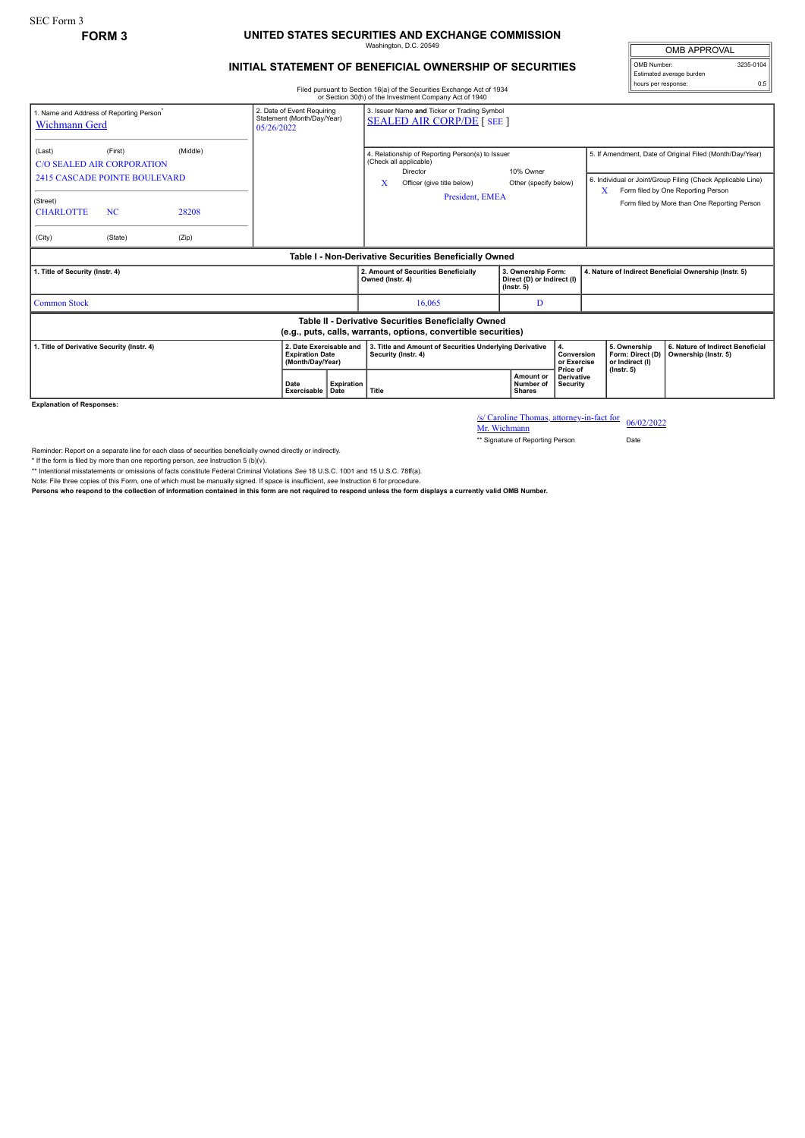## **FORM 3 UNITED STATES SECURITIES AND EXCHANGE COMMISSION** Washington, D.C. 20549

## **INITIAL STATEMENT OF BENEFICIAL OWNERSHIP OF SECURITIES**

OMB APPROVAL OMB Number: 3235-0104 Estimated average burden hours per response: 0.5

Filed pursuant to Section 16(a) of the Securities Exchange Act of 1934 or Section 30(h) of the Investment Company Act of 1940

| 1. Name and Address of Reporting Person <sup>®</sup><br><b>Wichmann Gerd</b>                                          |                                                                                                              |                            | 05/26/2022          | 3. Issuer Name and Ticker or Trading Symbol<br>2. Date of Event Requiring<br>Statement (Month/Day/Year)<br><b>SEALED AIR CORP/DE [ SEE ]</b> |                                                                                                                                              |  |                                                                                 |                                                          |                                                                                                                                                                                                                    |  |
|-----------------------------------------------------------------------------------------------------------------------|--------------------------------------------------------------------------------------------------------------|----------------------------|---------------------|----------------------------------------------------------------------------------------------------------------------------------------------|----------------------------------------------------------------------------------------------------------------------------------------------|--|---------------------------------------------------------------------------------|----------------------------------------------------------|--------------------------------------------------------------------------------------------------------------------------------------------------------------------------------------------------------------------|--|
| (Last)<br>(Street)<br><b>CHARLOTTE</b><br>(City)                                                                      | (First)<br><b>C/O SEALED AIR CORPORATION</b><br><b>2415 CASCADE POINTE BOULEVARD</b><br><b>NC</b><br>(State) | (Middle)<br>28208<br>(Zip) |                     |                                                                                                                                              | 4. Relationship of Reporting Person(s) to Issuer<br>(Check all applicable)<br>Director<br>х<br>Officer (give title below)<br>President, EMEA |  | 10% Owner<br>Other (specify below)                                              |                                                          | 5. If Amendment, Date of Original Filed (Month/Day/Year)<br>6. Individual or Joint/Group Filing (Check Applicable Line)<br>Form filed by One Reporting Person<br>x<br>Form filed by More than One Reporting Person |  |
| Table I - Non-Derivative Securities Beneficially Owned                                                                |                                                                                                              |                            |                     |                                                                                                                                              |                                                                                                                                              |  |                                                                                 |                                                          |                                                                                                                                                                                                                    |  |
| 1. Title of Security (Instr. 4)                                                                                       |                                                                                                              |                            |                     |                                                                                                                                              | 2. Amount of Securities Beneficially<br>Owned (Instr. 4)                                                                                     |  | 3. Ownership Form:<br>Direct (D) or Indirect (I)<br>$($ lnstr. 5 $)$            |                                                          | 4. Nature of Indirect Beneficial Ownership (Instr. 5)                                                                                                                                                              |  |
| <b>Common Stock</b>                                                                                                   |                                                                                                              |                            |                     |                                                                                                                                              | 16.065                                                                                                                                       |  | D                                                                               |                                                          |                                                                                                                                                                                                                    |  |
| Table II - Derivative Securities Beneficially Owned<br>(e.g., puts, calls, warrants, options, convertible securities) |                                                                                                              |                            |                     |                                                                                                                                              |                                                                                                                                              |  |                                                                                 |                                                          |                                                                                                                                                                                                                    |  |
| 1. Title of Derivative Security (Instr. 4)<br>2. Date Exercisable and<br><b>Expiration Date</b><br>(Month/Day/Year)   |                                                                                                              |                            |                     |                                                                                                                                              | 3. Title and Amount of Securities Underlying Derivative<br>4.<br>Conversion<br>Security (Instr. 4)<br>or Exercise<br>Price of                |  | 5. Ownership<br>Form: Direct (D)<br>or Indirect (I)                             | 6. Nature of Indirect Beneficial<br>Ownership (Instr. 5) |                                                                                                                                                                                                                    |  |
|                                                                                                                       |                                                                                                              |                            | Date<br>Exercisable | <b>Expiration</b><br>Date                                                                                                                    | Title                                                                                                                                        |  | Amount or<br><b>Derivative</b><br>Number of<br><b>Security</b><br><b>Shares</b> |                                                          | $($ lnstr. 5 $)$                                                                                                                                                                                                   |  |

**Explanation of Responses:**

/s/ Caroline Thomas, attorney-in-fact for 06/02/2022<br>Mr. Wichmann

\*\* Signature of Reporting Person Date

Reminder: Report on a separate line for each class of securities beneficially owned directly or indirectly.

\* If the form is filed by more than one reporting person, see Instruction 5 (b)(v).<br>\*\* Intentional misstatements or omissions of facts constitute Federal Criminal Violations See 18 U.S.C. 1001 and 15 U.S.C. 78ff(a).

Note: File three copies of this Form, one of which must be manually signed. If space is insufficient, *see* Instruction 6 for procedure.

**Persons who respond to the collection of information contained in this form are not required to respond unless the form displays a currently valid OMB Number.**